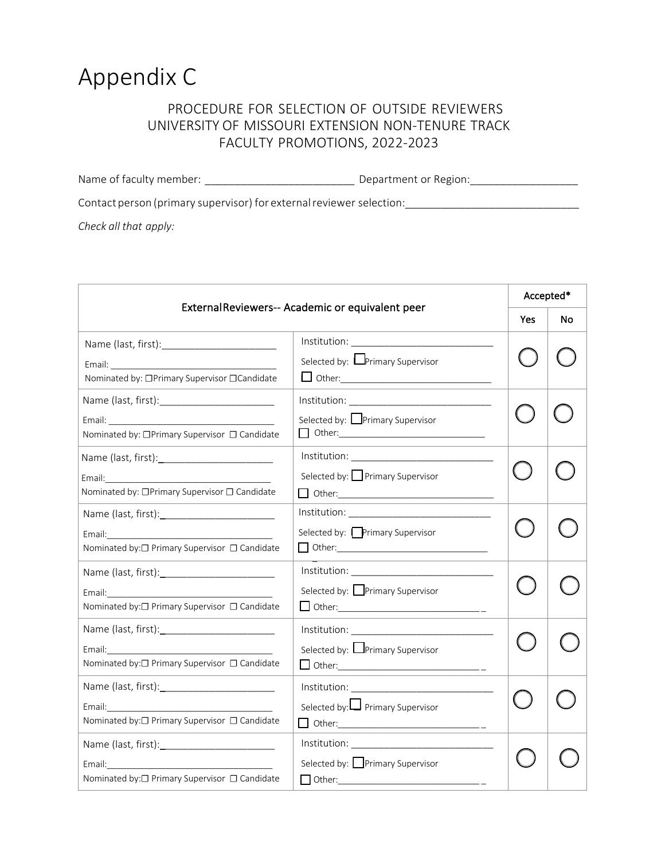## Appendix C

## PROCEDURE FOR SELECTION OF OUTSIDE REVIEWERS UNIVERSITY OF MISSOURI EXTENSION NON-TENURE TRACK FACULTY PROMOTIONS, 2022-2023

Name of faculty member: \_\_\_\_\_\_\_\_\_\_\_\_\_\_\_\_\_\_\_\_\_\_\_\_\_ Department or Region:\_\_\_\_\_\_\_\_\_\_\_\_\_\_\_\_\_\_

Contact person (primary supervisor) for external reviewer selection:

*Check all that apply:* 

| External Reviewers-- Academic or equivalent peer                                                                                                                                                                                                                                |                                                               | Accepted* |    |
|---------------------------------------------------------------------------------------------------------------------------------------------------------------------------------------------------------------------------------------------------------------------------------|---------------------------------------------------------------|-----------|----|
|                                                                                                                                                                                                                                                                                 |                                                               | Yes       | No |
|                                                                                                                                                                                                                                                                                 | $Institution: \underline{\hspace{2cm} \qquad \qquad \qquad }$ |           |    |
| Nominated by: □Primary Supervisor □Candidate                                                                                                                                                                                                                                    | Selected by: Primary Supervisor<br>$\Box$ Other:              |           |    |
|                                                                                                                                                                                                                                                                                 |                                                               |           |    |
| Nominated by: □Primary Supervisor □ Candidate                                                                                                                                                                                                                                   | Selected by: Primary Supervisor                               |           |    |
|                                                                                                                                                                                                                                                                                 |                                                               |           |    |
| Email: Email: Email: Email: Email: Email: Email: Email: Email: Email: Email: Email: Email: Email: Email: Email: Email: Email: Email: Email: Email: Email: Email: Email: Email: Email: Email: Email: Email: Email: Email: Email<br>Nominated by: □Primary Supervisor □ Candidate | Selected by: Primary Supervisor                               |           |    |
|                                                                                                                                                                                                                                                                                 |                                                               |           |    |
| Email: Email: All and the second second second second second second second second second second second second second second second second second second second second second second second second second second second second<br>Nominated by:□ Primary Supervisor □ Candidate  | Selected by: Primary Supervisor                               |           |    |
|                                                                                                                                                                                                                                                                                 |                                                               |           |    |
| Nominated by:□ Primary Supervisor □ Candidate                                                                                                                                                                                                                                   | Selected by: Primary Supervisor                               |           |    |
|                                                                                                                                                                                                                                                                                 |                                                               |           |    |
| Nominated by:□ Primary Supervisor □ Candidate                                                                                                                                                                                                                                   | Selected by: Primary Supervisor                               |           |    |
|                                                                                                                                                                                                                                                                                 |                                                               |           |    |
| Email: Email: Email: Email: Email: Email: Email: Email: Email: Email: Email: Email: Email: Email: Email: Email: Email: Email: Email: Email: Email: Email: Email: Email: Email: Email: Email: Email: Email: Email: Email: Email<br>Nominated by:□ Primary Supervisor □ Candidate | Selected by: Primary Supervisor                               |           |    |
|                                                                                                                                                                                                                                                                                 |                                                               |           |    |
| Email: Email:<br>Nominated by:□ Primary Supervisor □ Candidate                                                                                                                                                                                                                  | Selected by: Primary Supervisor<br>$\Box$ Other:              |           |    |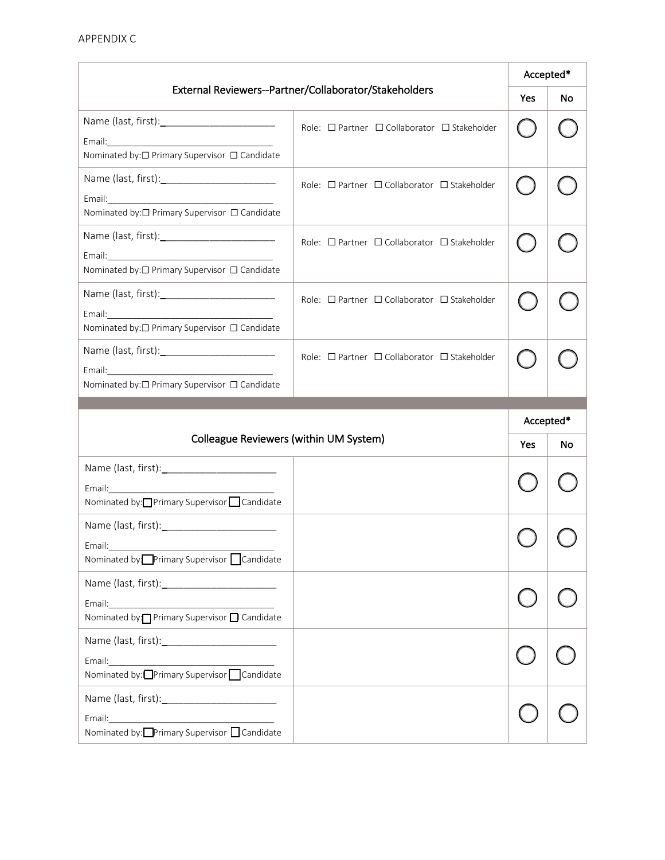APPENDIX C

| External Reviewers--Partner/Collaborator/Stakeholders                                                                                                                                                                                                                           |                                                             | Accepted* |           |
|---------------------------------------------------------------------------------------------------------------------------------------------------------------------------------------------------------------------------------------------------------------------------------|-------------------------------------------------------------|-----------|-----------|
|                                                                                                                                                                                                                                                                                 |                                                             | Yes       | <b>No</b> |
|                                                                                                                                                                                                                                                                                 | Role: □ Partner □ Collaborator □ Stakeholder                |           |           |
| Nominated by:□ Primary Supervisor □ Candidate                                                                                                                                                                                                                                   |                                                             |           |           |
|                                                                                                                                                                                                                                                                                 | Role: $\Box$ Partner $\Box$ Collaborator $\Box$ Stakeholder |           |           |
| Nominated by:□ Primary Supervisor □ Candidate                                                                                                                                                                                                                                   |                                                             |           |           |
|                                                                                                                                                                                                                                                                                 | Role: $\Box$ Partner $\Box$ Collaborator $\Box$ Stakeholder |           |           |
| Nominated by:□ Primary Supervisor □ Candidate                                                                                                                                                                                                                                   |                                                             |           |           |
|                                                                                                                                                                                                                                                                                 | Role: □ Partner □ Collaborator □ Stakeholder                |           |           |
| Email: Email: Email: Email: Email: Email: Email: Email: Email: Email: Email: Email: Email: Email: Email: Email: Email: Email: Email: Email: Email: Email: Email: Email: Email: Email: Email: Email: Email: Email: Email: Email<br>Nominated by:□ Primary Supervisor □ Candidate |                                                             |           |           |
|                                                                                                                                                                                                                                                                                 | Role: $\Box$ Partner $\Box$ Collaborator $\Box$ Stakeholder |           |           |
|                                                                                                                                                                                                                                                                                 |                                                             |           |           |
| Nominated by:□ Primary Supervisor □ Candidate                                                                                                                                                                                                                                   |                                                             |           |           |
|                                                                                                                                                                                                                                                                                 |                                                             |           |           |
|                                                                                                                                                                                                                                                                                 |                                                             | Accepted* |           |
| Colleague Reviewers (within UM System)                                                                                                                                                                                                                                          |                                                             | Yes       | No        |
|                                                                                                                                                                                                                                                                                 |                                                             |           |           |
| Nominated by: Primary Supervisor Candidate                                                                                                                                                                                                                                      |                                                             |           |           |
|                                                                                                                                                                                                                                                                                 |                                                             |           |           |
| Email:<br>Nominated by: Primary Supervisor Candidate                                                                                                                                                                                                                            |                                                             |           |           |
|                                                                                                                                                                                                                                                                                 |                                                             |           |           |
| Email:<br>Nominated by: Primary Supervisor D Candidate                                                                                                                                                                                                                          |                                                             |           |           |
|                                                                                                                                                                                                                                                                                 |                                                             |           |           |
| Email:<br>Nominated by: Primary Supervisor   Candidate                                                                                                                                                                                                                          |                                                             |           |           |
|                                                                                                                                                                                                                                                                                 |                                                             |           |           |